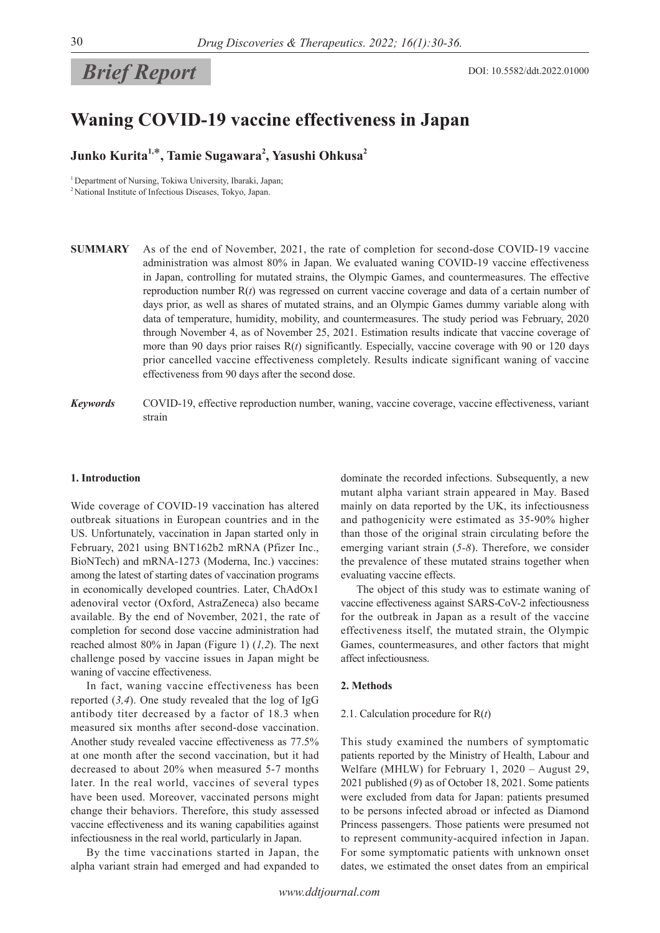# *Brief Report*

## **Waning COVID-19 vaccine effectiveness in Japan**

### **Junko Kurita1,**\***, Tamie Sugawara<sup>2</sup> , Yasushi Ohkusa<sup>2</sup>**

<sup>1</sup> Department of Nursing, Tokiwa University, Ibaraki, Japan; <sup>2</sup> National Institute of Infectious Diseases, Tokyo, Japan.

- **SUMMARY** As of the end of November, 2021, the rate of completion for second-dose COVID-19 vaccine administration was almost 80% in Japan. We evaluated waning COVID-19 vaccine effectiveness in Japan, controlling for mutated strains, the Olympic Games, and countermeasures. The effective reproduction number R(*t*) was regressed on current vaccine coverage and data of a certain number of days prior, as well as shares of mutated strains, and an Olympic Games dummy variable along with data of temperature, humidity, mobility, and countermeasures. The study period was February, 2020 through November 4, as of November 25, 2021. Estimation results indicate that vaccine coverage of more than 90 days prior raises R(*t*) significantly. Especially, vaccine coverage with 90 or 120 days prior cancelled vaccine effectiveness completely. Results indicate significant waning of vaccine effectiveness from 90 days after the second dose.
- *Keywords* COVID-19, effective reproduction number, waning, vaccine coverage, vaccine effectiveness, variant strain

#### **1. Introduction**

Wide coverage of COVID-19 vaccination has altered outbreak situations in European countries and in the US. Unfortunately, vaccination in Japan started only in February, 2021 using BNT162b2 mRNA (Pfizer Inc., BioNTech) and mRNA-1273 (Moderna, Inc.) vaccines: among the latest of starting dates of vaccination programs in economically developed countries. Later, ChAdOx1 adenoviral vector (Oxford, AstraZeneca) also became available. By the end of November, 2021, the rate of completion for second dose vaccine administration had reached almost 80% in Japan (Figure 1) (*1,2*). The next challenge posed by vaccine issues in Japan might be waning of vaccine effectiveness.

In fact, waning vaccine effectiveness has been reported (*3,4*). One study revealed that the log of IgG antibody titer decreased by a factor of 18.3 when measured six months after second-dose vaccination. Another study revealed vaccine effectiveness as 77.5% at one month after the second vaccination, but it had decreased to about 20% when measured 5-7 months later. In the real world, vaccines of several types have been used. Moreover, vaccinated persons might change their behaviors. Therefore, this study assessed vaccine effectiveness and its waning capabilities against infectiousness in the real world, particularly in Japan.

By the time vaccinations started in Japan, the alpha variant strain had emerged and had expanded to dominate the recorded infections. Subsequently, a new mutant alpha variant strain appeared in May. Based mainly on data reported by the UK, its infectiousness and pathogenicity were estimated as 35-90% higher than those of the original strain circulating before the emerging variant strain (*5-8*). Therefore, we consider the prevalence of these mutated strains together when evaluating vaccine effects.

The object of this study was to estimate waning of vaccine effectiveness against SARS-CoV-2 infectiousness for the outbreak in Japan as a result of the vaccine effectiveness itself, the mutated strain, the Olympic Games, countermeasures, and other factors that might affect infectiousness.

#### **2. Methods**

#### 2.1. Calculation procedure for R(*t*)

This study examined the numbers of symptomatic patients reported by the Ministry of Health, Labour and Welfare (MHLW) for February 1, 2020 – August 29, 2021 published (*9*) as of October 18, 2021. Some patients were excluded from data for Japan: patients presumed to be persons infected abroad or infected as Diamond Princess passengers. Those patients were presumed not to represent community-acquired infection in Japan. For some symptomatic patients with unknown onset dates, we estimated the onset dates from an empirical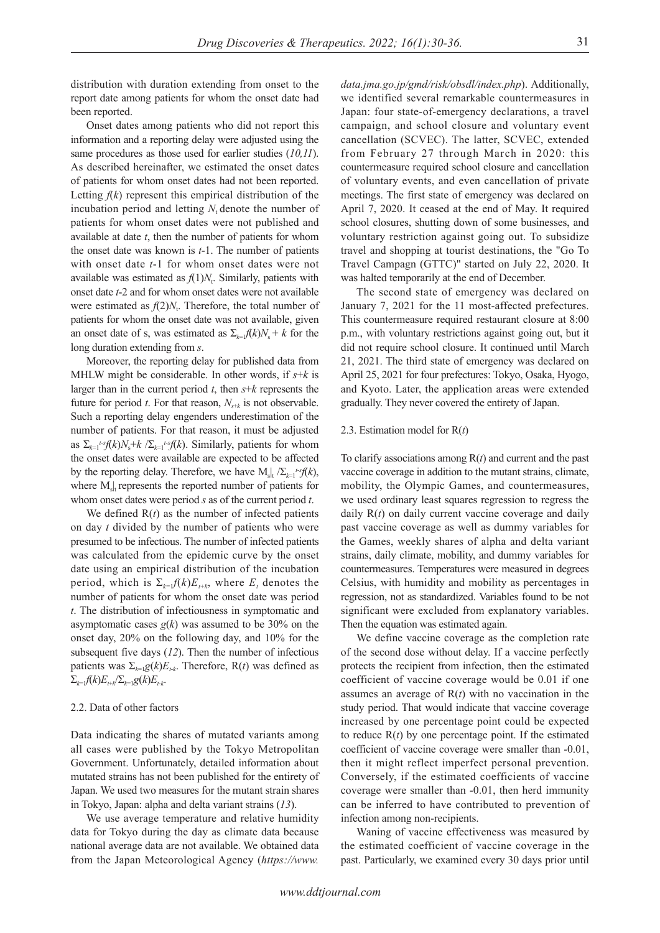distribution with duration extending from onset to the report date among patients for whom the onset date had been reported.

Onset dates among patients who did not report this information and a reporting delay were adjusted using the same procedures as those used for earlier studies (*10,11*). As described hereinafter, we estimated the onset dates of patients for whom onset dates had not been reported. Letting  $f(k)$  represent this empirical distribution of the incubation period and letting  $N_t$  denote the number of patients for whom onset dates were not published and available at date *t*, then the number of patients for whom the onset date was known is *t*-1. The number of patients with onset date *t*-1 for whom onset dates were not available was estimated as  $f(1)N_t$ . Similarly, patients with onset date *t*-2 and for whom onset dates were not available were estimated as  $f(2)N_t$ . Therefore, the total number of patients for whom the onset date was not available, given an onset date of s, was estimated as  $\Sigma_{k=1} f(k)N_s + k$  for the long duration extending from *s*.

Moreover, the reporting delay for published data from MHLW might be considerable. In other words, if *s*+*k* is larger than in the current period *t*, then *s*+*k* represents the future for period *t*. For that reason,  $N_{s+k}$  is not observable. Such a reporting delay engenders underestimation of the number of patients. For that reason, it must be adjusted as  $\Sigma_{k=1}$ <sup>*t*</sup><sup>*s*</sup> $f(k)N_s$ + $k$  / $\Sigma_{k=1}$ <sup>*t*</sup><sup>*s*</sup> $f(k)$ . Similarly, patients for whom the onset dates were available are expected to be affected by the reporting delay. Therefore, we have  $M_s|_t \sum_{k=1}^{t-s} f(k)$ , where  $M_{\rm sl}$  represents the reported number of patients for whom onset dates were period *s* as of the current period *t*.

We defined  $R(t)$  as the number of infected patients on day *t* divided by the number of patients who were presumed to be infectious. The number of infected patients was calculated from the epidemic curve by the onset date using an empirical distribution of the incubation period, which is  $\Sigma_{k=1} f(k) E_{t+k}$ , where  $E_t$  denotes the number of patients for whom the onset date was period *t*. The distribution of infectiousness in symptomatic and asymptomatic cases  $g(k)$  was assumed to be 30% on the onset day, 20% on the following day, and 10% for the subsequent five days (*12*). Then the number of infectious patients was  $\Sigma_{k=1}g(k)E_{t,k}$ . Therefore, R(*t*) was defined as  $\Sigma_{k=1} f(k) E_{t+k} / \Sigma_{k=1} g(k) E_{t-k}$ .

#### 2.2. Data of other factors

Data indicating the shares of mutated variants among all cases were published by the Tokyo Metropolitan Government. Unfortunately, detailed information about mutated strains has not been published for the entirety of Japan. We used two measures for the mutant strain shares in Tokyo, Japan: alpha and delta variant strains (*13*).

We use average temperature and relative humidity data for Tokyo during the day as climate data because national average data are not available. We obtained data from the Japan Meteorological Agency (*https://www.* *data.jma.go.jp/gmd/risk/obsdl/index.php*). Additionally, we identified several remarkable countermeasures in Japan: four state-of-emergency declarations, a travel campaign, and school closure and voluntary event cancellation (SCVEC). The latter, SCVEC, extended from February 27 through March in 2020: this countermeasure required school closure and cancellation of voluntary events, and even cancellation of private meetings. The first state of emergency was declared on April 7, 2020. It ceased at the end of May. It required school closures, shutting down of some businesses, and voluntary restriction against going out. To subsidize travel and shopping at tourist destinations, the "Go To Travel Campagn (GTTC)" started on July 22, 2020. It was halted temporarily at the end of December.

The second state of emergency was declared on January 7, 2021 for the 11 most-affected prefectures. This countermeasure required restaurant closure at 8:00 p.m., with voluntary restrictions against going out, but it did not require school closure. It continued until March 21, 2021. The third state of emergency was declared on April 25, 2021 for four prefectures: Tokyo, Osaka, Hyogo, and Kyoto. Later, the application areas were extended gradually. They never covered the entirety of Japan.

#### 2.3. Estimation model for R(*t*)

To clarify associations among R(*t*) and current and the past vaccine coverage in addition to the mutant strains, climate, mobility, the Olympic Games, and countermeasures, we used ordinary least squares regression to regress the daily R(*t*) on daily current vaccine coverage and daily past vaccine coverage as well as dummy variables for the Games, weekly shares of alpha and delta variant strains, daily climate, mobility, and dummy variables for countermeasures. Temperatures were measured in degrees Celsius, with humidity and mobility as percentages in regression, not as standardized. Variables found to be not significant were excluded from explanatory variables. Then the equation was estimated again.

We define vaccine coverage as the completion rate of the second dose without delay. If a vaccine perfectly protects the recipient from infection, then the estimated coefficient of vaccine coverage would be 0.01 if one assumes an average of R(*t*) with no vaccination in the study period. That would indicate that vaccine coverage increased by one percentage point could be expected to reduce  $R(t)$  by one percentage point. If the estimated coefficient of vaccine coverage were smaller than -0.01, then it might reflect imperfect personal prevention. Conversely, if the estimated coefficients of vaccine coverage were smaller than -0.01, then herd immunity can be inferred to have contributed to prevention of infection among non-recipients.

Waning of vaccine effectiveness was measured by the estimated coefficient of vaccine coverage in the past. Particularly, we examined every 30 days prior until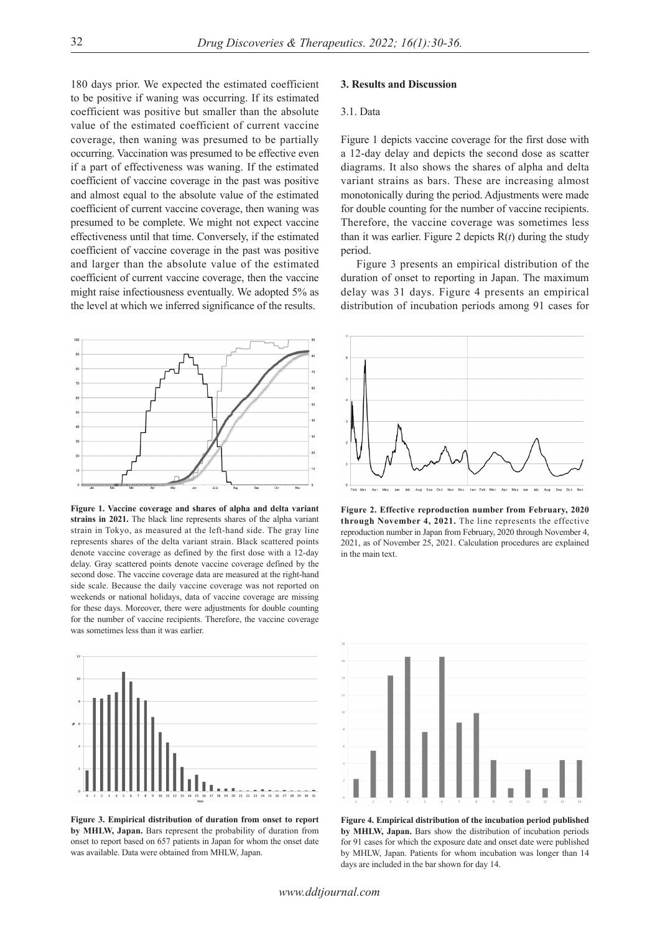180 days prior. We expected the estimated coefficient to be positive if waning was occurring. If its estimated coefficient was positive but smaller than the absolute value of the estimated coefficient of current vaccine coverage, then waning was presumed to be partially occurring. Vaccination was presumed to be effective even if a part of effectiveness was waning. If the estimated coefficient of vaccine coverage in the past was positive and almost equal to the absolute value of the estimated coefficient of current vaccine coverage, then waning was presumed to be complete. We might not expect vaccine effectiveness until that time. Conversely, if the estimated coefficient of vaccine coverage in the past was positive and larger than the absolute value of the estimated coefficient of current vaccine coverage, then the vaccine might raise infectiousness eventually. We adopted 5% as the level at which we inferred significance of the results.



**Figure 1. Vaccine coverage and shares of alpha and delta variant strains in 2021.** The black line represents shares of the alpha variant strain in Tokyo, as measured at the left-hand side. The gray line represents shares of the delta variant strain. Black scattered points denote vaccine coverage as defined by the first dose with a 12-day delay. Gray scattered points denote vaccine coverage defined by the second dose. The vaccine coverage data are measured at the right-hand side scale. Because the daily vaccine coverage was not reported on weekends or national holidays, data of vaccine coverage are missing for these days. Moreover, there were adjustments for double counting for the number of vaccine recipients. Therefore, the vaccine coverage was sometimes less than it was earlier.



**Figure 3. Empirical distribution of duration from onset to report by MHLW, Japan.** Bars represent the probability of duration from onset to report based on 657 patients in Japan for whom the onset date was available. Data were obtained from MHLW, Japan.

#### **3. Results and Discussion**

#### 3.1. Data

Figure 1 depicts vaccine coverage for the first dose with a 12-day delay and depicts the second dose as scatter diagrams. It also shows the shares of alpha and delta variant strains as bars. These are increasing almost monotonically during the period. Adjustments were made for double counting for the number of vaccine recipients. Therefore, the vaccine coverage was sometimes less than it was earlier. Figure 2 depicts  $R(t)$  during the study period.

Figure 3 presents an empirical distribution of the duration of onset to reporting in Japan. The maximum delay was 31 days. Figure 4 presents an empirical distribution of incubation periods among 91 cases for



**Figure 2. Effective reproduction number from February, 2020 through November 4, 2021.** The line represents the effective reproduction number in Japan from February, 2020 through November 4, 2021, as of November 25, 2021. Calculation procedures are explained in the main text.



**Figure 4. Empirical distribution of the incubation period published by MHLW, Japan.** Bars show the distribution of incubation periods for 91 cases for which the exposure date and onset date were published by MHLW, Japan. Patients for whom incubation was longer than 14 days are included in the bar shown for day 14.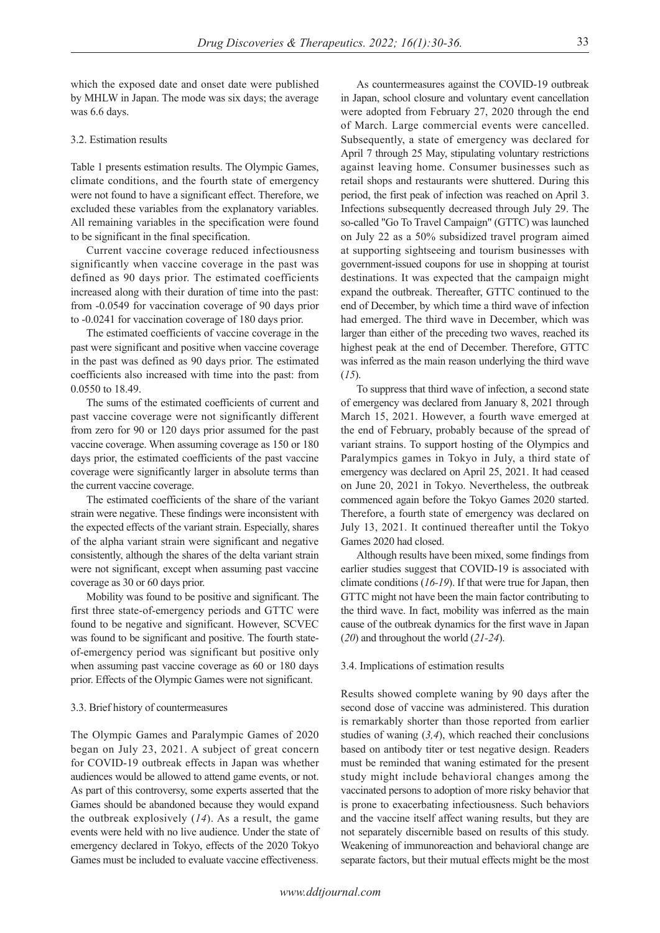which the exposed date and onset date were published by MHLW in Japan. The mode was six days; the average was 6.6 days.

#### 3.2. Estimation results

Table 1 presents estimation results. The Olympic Games, climate conditions, and the fourth state of emergency were not found to have a significant effect. Therefore, we excluded these variables from the explanatory variables. All remaining variables in the specification were found to be significant in the final specification.

Current vaccine coverage reduced infectiousness significantly when vaccine coverage in the past was defined as 90 days prior. The estimated coefficients increased along with their duration of time into the past: from -0.0549 for vaccination coverage of 90 days prior to -0.0241 for vaccination coverage of 180 days prior.

The estimated coefficients of vaccine coverage in the past were significant and positive when vaccine coverage in the past was defined as 90 days prior. The estimated coefficients also increased with time into the past: from 0.0550 to 18.49.

The sums of the estimated coefficients of current and past vaccine coverage were not significantly different from zero for 90 or 120 days prior assumed for the past vaccine coverage. When assuming coverage as 150 or 180 days prior, the estimated coefficients of the past vaccine coverage were significantly larger in absolute terms than the current vaccine coverage.

The estimated coefficients of the share of the variant strain were negative. These findings were inconsistent with the expected effects of the variant strain. Especially, shares of the alpha variant strain were significant and negative consistently, although the shares of the delta variant strain were not significant, except when assuming past vaccine coverage as 30 or 60 days prior.

Mobility was found to be positive and significant. The first three state-of-emergency periods and GTTC were found to be negative and significant. However, SCVEC was found to be significant and positive. The fourth stateof-emergency period was significant but positive only when assuming past vaccine coverage as 60 or 180 days prior. Effects of the Olympic Games were not significant.

#### 3.3. Brief history of countermeasures

The Olympic Games and Paralympic Games of 2020 began on July 23, 2021. A subject of great concern for COVID-19 outbreak effects in Japan was whether audiences would be allowed to attend game events, or not. As part of this controversy, some experts asserted that the Games should be abandoned because they would expand the outbreak explosively (*14*). As a result, the game events were held with no live audience. Under the state of emergency declared in Tokyo, effects of the 2020 Tokyo Games must be included to evaluate vaccine effectiveness.

As countermeasures against the COVID-19 outbreak in Japan, school closure and voluntary event cancellation were adopted from February 27, 2020 through the end of March. Large commercial events were cancelled. Subsequently, a state of emergency was declared for April 7 through 25 May, stipulating voluntary restrictions against leaving home. Consumer businesses such as retail shops and restaurants were shuttered. During this period, the first peak of infection was reached on April 3. Infections subsequently decreased through July 29. The so-called "Go To Travel Campaign" (GTTC) was launched on July 22 as a 50% subsidized travel program aimed at supporting sightseeing and tourism businesses with government-issued coupons for use in shopping at tourist destinations. It was expected that the campaign might expand the outbreak. Thereafter, GTTC continued to the end of December, by which time a third wave of infection had emerged. The third wave in December, which was larger than either of the preceding two waves, reached its highest peak at the end of December. Therefore, GTTC was inferred as the main reason underlying the third wave (*15*).

To suppress that third wave of infection, a second state of emergency was declared from January 8, 2021 through March 15, 2021. However, a fourth wave emerged at the end of February, probably because of the spread of variant strains. To support hosting of the Olympics and Paralympics games in Tokyo in July, a third state of emergency was declared on April 25, 2021. It had ceased on June 20, 2021 in Tokyo. Nevertheless, the outbreak commenced again before the Tokyo Games 2020 started. Therefore, a fourth state of emergency was declared on July 13, 2021. It continued thereafter until the Tokyo Games 2020 had closed.

Although results have been mixed, some findings from earlier studies suggest that COVID-19 is associated with climate conditions (*16-19*). If that were true for Japan, then GTTC might not have been the main factor contributing to the third wave. In fact, mobility was inferred as the main cause of the outbreak dynamics for the first wave in Japan (*20*) and throughout the world (*21-24*).

#### 3.4. Implications of estimation results

Results showed complete waning by 90 days after the second dose of vaccine was administered. This duration is remarkably shorter than those reported from earlier studies of waning (*3,4*), which reached their conclusions based on antibody titer or test negative design. Readers must be reminded that waning estimated for the present study might include behavioral changes among the vaccinated persons to adoption of more risky behavior that is prone to exacerbating infectiousness. Such behaviors and the vaccine itself affect waning results, but they are not separately discernible based on results of this study. Weakening of immunoreaction and behavioral change are separate factors, but their mutual effects might be the most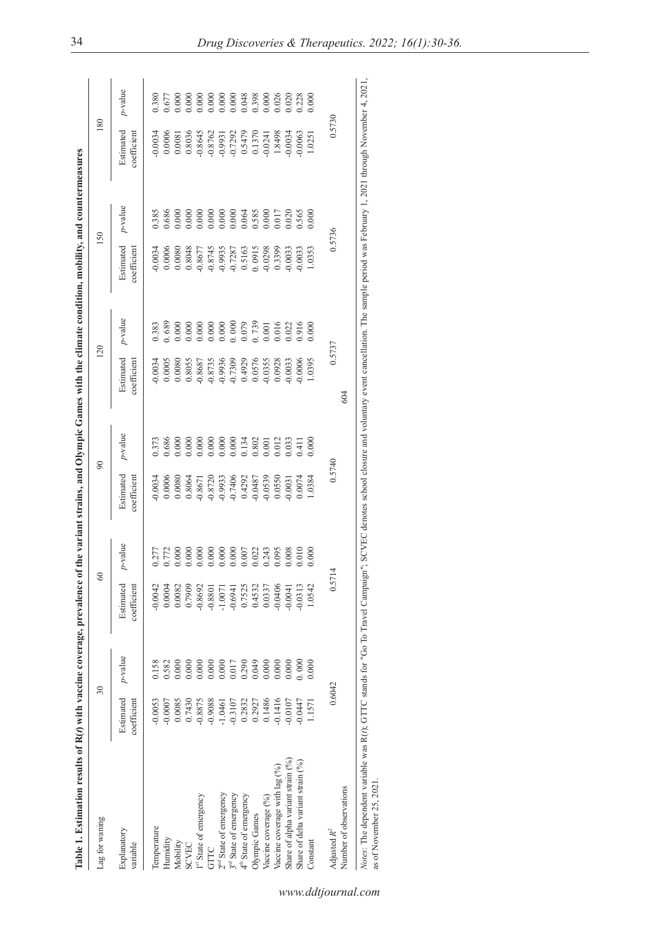| Lag for waning                            |                          | $\overline{\mathcal{E}}$ | ୪                        |                    |                                                                                                                                                                                                                                                                   | $\infty$                                                                      |                                                                         | 120                                                                                                                                                                                                                                                                   |                                                                                                          | 150                                                                             | 180                      |         |
|-------------------------------------------|--------------------------|--------------------------|--------------------------|--------------------|-------------------------------------------------------------------------------------------------------------------------------------------------------------------------------------------------------------------------------------------------------------------|-------------------------------------------------------------------------------|-------------------------------------------------------------------------|-----------------------------------------------------------------------------------------------------------------------------------------------------------------------------------------------------------------------------------------------------------------------|----------------------------------------------------------------------------------------------------------|---------------------------------------------------------------------------------|--------------------------|---------|
| Explanatory<br>variable                   | Estimated<br>coefficient | $p$ -value               | coefficient<br>Estimated | p-value            | Estimated<br>coefficient                                                                                                                                                                                                                                          | $v$ -value                                                                    | Estimated<br>coefficient                                                | $p$ -value                                                                                                                                                                                                                                                            | Estimated<br>coefficient                                                                                 | $p$ -value                                                                      | Estimated<br>coefficient | p-value |
| Temperature                               | $-0.0053$                | 0.158                    | $-0.0042$                | 0.277              | 0.0034                                                                                                                                                                                                                                                            | 0.373                                                                         | 0.0034                                                                  | 0.383                                                                                                                                                                                                                                                                 | 0.0034                                                                                                   | 0.385                                                                           |                          | 0.380   |
| Humidity                                  | $-0.0007$                | 0.582                    | 0.0004                   |                    |                                                                                                                                                                                                                                                                   |                                                                               |                                                                         |                                                                                                                                                                                                                                                                       |                                                                                                          | 089.                                                                            |                          |         |
| Mobility                                  | 0.0085                   | 0.000                    | 0.0082                   | $0.772$<br>$0.000$ | $\begin{array}{r} 0.0006\\ 0.0080\\ 0.0080\\ 0.0080\\ 0.0008\\ 0.0008\\ 0.0008\\ 0.0008\\ 0.0008\\ 0.0008\\ 0.0008\\ 0.0008\\ 0.0008\\ 0.0008\\ 0.0008\\ 0.0008\\ 0.0008\\ 0.0008\\ 0.0008\\ 0.0008\\ 0.0008\\ 0.0008\\ 0.0008\\ 0.0008\\ 0.0008\\ 0.0008\\ 0.00$ | 0.686<br>0.000<br>0.000 0.000 0.000<br>0.000 0.000 0.000<br>0.000 0.000 0.000 | 0.0005<br>0.0080                                                        | $\begin{array}{l} 0.689\\ 0.000\\ 0.000\\ 0.000\\ 0.000\\ 0.000\\ 0.000\\ 0.000\\ 0.000\\ 0.000\\ 0.001\\ 0.010\\ 0.001\\ 0.000\\ 0.001\\ 0.001\\ 0.001\\ 0.001\\ 0.001\\ 0.001\\ 0.001\\ 0.001\\ 0.001\\ 0.001\\ 0.000\\ 0.000\\ 0.000\\ 0.000\\ 0.000\\ 0.000\\ 0.$ | $0.0006$<br>0.0080                                                                                       | 000(                                                                            |                          |         |
| <b>SCVEC</b>                              | 0.7430                   | 0.000                    | 0.7909                   | 0.000              |                                                                                                                                                                                                                                                                   |                                                                               |                                                                         |                                                                                                                                                                                                                                                                       | $\begin{array}{c} 0.8048 \\ -0.8677 \\ -0.8745 \\ -0.9935 \\ -0.7287 \\ 0.5163 \\ 0.0915 \\ \end{array}$ |                                                                                 |                          |         |
| 1 <sup>st</sup> State of emergency        | $-0.8875$                | 0.000                    | $-0.8692$                | 0.000              |                                                                                                                                                                                                                                                                   |                                                                               |                                                                         |                                                                                                                                                                                                                                                                       |                                                                                                          |                                                                                 |                          |         |
| GTTC                                      | $-0.9088$                | 0.000                    | $-0.8801$                |                    |                                                                                                                                                                                                                                                                   |                                                                               | 0.8055<br>-0.8687<br>-0.8735<br>-0.9736<br>-0.0576<br>0.0576<br>-0.0355 |                                                                                                                                                                                                                                                                       |                                                                                                          | $0.0000$<br>$0.0000$<br>$0.0000$<br>$0.0000$<br>$0.0000$<br>$0.585$<br>$0.0000$ |                          |         |
| 2 <sup>nd</sup> State of emergency        | $-1.0461$                | 0.000                    | $-1.0071$                |                    |                                                                                                                                                                                                                                                                   |                                                                               |                                                                         |                                                                                                                                                                                                                                                                       |                                                                                                          |                                                                                 |                          |         |
| $3rd$ State of emergency                  | $-0.3107$                | 0.017                    | $-0.6941$                | $0.000$<br>$0.000$ |                                                                                                                                                                                                                                                                   |                                                                               |                                                                         |                                                                                                                                                                                                                                                                       |                                                                                                          |                                                                                 |                          |         |
| $4^{\text{\tiny{th}}}$ State of emergency | 0.2832                   | 0.290                    | 0.7525                   | 0.007              |                                                                                                                                                                                                                                                                   |                                                                               |                                                                         |                                                                                                                                                                                                                                                                       |                                                                                                          |                                                                                 |                          |         |
| Olympic Games                             | 0.2927                   | 0.049                    | 0.4532                   |                    |                                                                                                                                                                                                                                                                   |                                                                               |                                                                         |                                                                                                                                                                                                                                                                       |                                                                                                          |                                                                                 |                          |         |
| Vaccine coverage (%)                      | 0.1486                   | 0.000                    | 0.0337                   | 0.022<br>0.243     |                                                                                                                                                                                                                                                                   |                                                                               |                                                                         |                                                                                                                                                                                                                                                                       |                                                                                                          |                                                                                 |                          |         |
| Vaccine coverage with lag (%)             | $-0.1416$                | 0.000                    | $-0.0406$                | 0.095              |                                                                                                                                                                                                                                                                   |                                                                               |                                                                         |                                                                                                                                                                                                                                                                       |                                                                                                          |                                                                                 |                          |         |
| Share of alpha variant strain (%)         | $-0.0107$                | 0.000                    | $-0.0041$                | 0.008              | $0.0031$<br>$0.0074$                                                                                                                                                                                                                                              | 0.33                                                                          | 0.0033                                                                  | 0.022                                                                                                                                                                                                                                                                 | 0.0033                                                                                                   | 0.020                                                                           |                          |         |
| Share of delta variant strain (%)         | $-0.0447$                | 0.000                    | $-0.0313$                | 0.010              |                                                                                                                                                                                                                                                                   | (11)                                                                          | 0.0006                                                                  | 0.916                                                                                                                                                                                                                                                                 | 0.0033                                                                                                   | 0.565                                                                           |                          |         |
| Constant                                  | 1.1571                   | 0.000                    | 1.0542                   | 000(               | 1.0384                                                                                                                                                                                                                                                            | 0.000                                                                         | 1.0395                                                                  |                                                                                                                                                                                                                                                                       | 1.0353                                                                                                   | 0.000                                                                           | 1.0251                   |         |
| Adjusted $R^2$                            | 0.6042                   |                          | 0.57                     |                    | 0.5740                                                                                                                                                                                                                                                            |                                                                               |                                                                         | 0.5737                                                                                                                                                                                                                                                                | 0.5736                                                                                                   |                                                                                 | 0.5730                   |         |
| Number of observations                    |                          |                          |                          |                    |                                                                                                                                                                                                                                                                   |                                                                               | 604                                                                     |                                                                                                                                                                                                                                                                       |                                                                                                          |                                                                                 |                          |         |

*www.ddtjournal.com*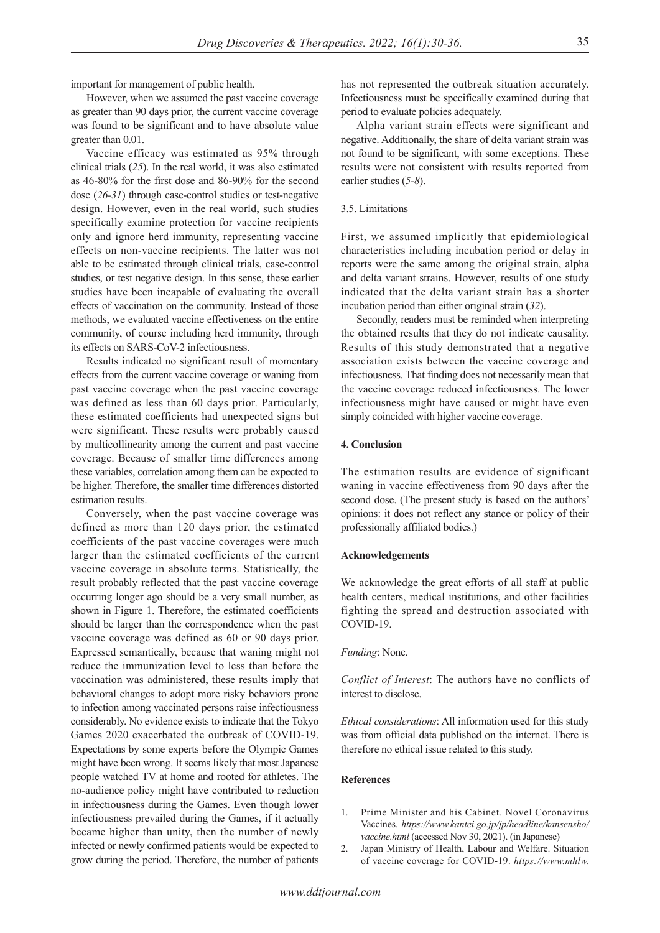important for management of public health.

However, when we assumed the past vaccine coverage as greater than 90 days prior, the current vaccine coverage was found to be significant and to have absolute value greater than 0.01.

Vaccine efficacy was estimated as 95% through clinical trials (*25*). In the real world, it was also estimated as 46-80% for the first dose and 86-90% for the second dose (*26-31*) through case-control studies or test-negative design. However, even in the real world, such studies specifically examine protection for vaccine recipients only and ignore herd immunity, representing vaccine effects on non-vaccine recipients. The latter was not able to be estimated through clinical trials, case-control studies, or test negative design. In this sense, these earlier studies have been incapable of evaluating the overall effects of vaccination on the community. Instead of those methods, we evaluated vaccine effectiveness on the entire community, of course including herd immunity, through its effects on SARS-CoV-2 infectiousness.

Results indicated no significant result of momentary effects from the current vaccine coverage or waning from past vaccine coverage when the past vaccine coverage was defined as less than 60 days prior. Particularly, these estimated coefficients had unexpected signs but were significant. These results were probably caused by multicollinearity among the current and past vaccine coverage. Because of smaller time differences among these variables, correlation among them can be expected to be higher. Therefore, the smaller time differences distorted estimation results.

Conversely, when the past vaccine coverage was defined as more than 120 days prior, the estimated coefficients of the past vaccine coverages were much larger than the estimated coefficients of the current vaccine coverage in absolute terms. Statistically, the result probably reflected that the past vaccine coverage occurring longer ago should be a very small number, as shown in Figure 1. Therefore, the estimated coefficients should be larger than the correspondence when the past vaccine coverage was defined as 60 or 90 days prior. Expressed semantically, because that waning might not reduce the immunization level to less than before the vaccination was administered, these results imply that behavioral changes to adopt more risky behaviors prone to infection among vaccinated persons raise infectiousness considerably. No evidence exists to indicate that the Tokyo Games 2020 exacerbated the outbreak of COVID-19. Expectations by some experts before the Olympic Games might have been wrong. It seems likely that most Japanese people watched TV at home and rooted for athletes. The no-audience policy might have contributed to reduction in infectiousness during the Games. Even though lower infectiousness prevailed during the Games, if it actually became higher than unity, then the number of newly infected or newly confirmed patients would be expected to grow during the period. Therefore, the number of patients

has not represented the outbreak situation accurately. Infectiousness must be specifically examined during that period to evaluate policies adequately.

Alpha variant strain effects were significant and negative. Additionally, the share of delta variant strain was not found to be significant, with some exceptions. These results were not consistent with results reported from earlier studies (*5-8*).

#### 3.5. Limitations

First, we assumed implicitly that epidemiological characteristics including incubation period or delay in reports were the same among the original strain, alpha and delta variant strains. However, results of one study indicated that the delta variant strain has a shorter incubation period than either original strain (*32*).

Secondly, readers must be reminded when interpreting the obtained results that they do not indicate causality. Results of this study demonstrated that a negative association exists between the vaccine coverage and infectiousness. That finding does not necessarily mean that the vaccine coverage reduced infectiousness. The lower infectiousness might have caused or might have even simply coincided with higher vaccine coverage.

#### **4. Conclusion**

The estimation results are evidence of significant waning in vaccine effectiveness from 90 days after the second dose. (The present study is based on the authors' opinions: it does not reflect any stance or policy of their professionally affiliated bodies.)

#### **Acknowledgements**

We acknowledge the great efforts of all staff at public health centers, medical institutions, and other facilities fighting the spread and destruction associated with COVID-19.

#### *Funding*: None.

*Conflict of Interest*: The authors have no conflicts of interest to disclose.

*Ethical considerations*: All information used for this study was from official data published on the internet. There is therefore no ethical issue related to this study.

#### **References**

- 1. Prime Minister and his Cabinet. Novel Coronavirus Vaccines. *https://www.kantei.go.jp/jp/headline/kansensho/ vaccine.html* (accessed Nov 30, 2021). (in Japanese)
- 2. Japan Ministry of Health, Labour and Welfare. Situation of vaccine coverage for COVID-19. *https://www.mhlw.*